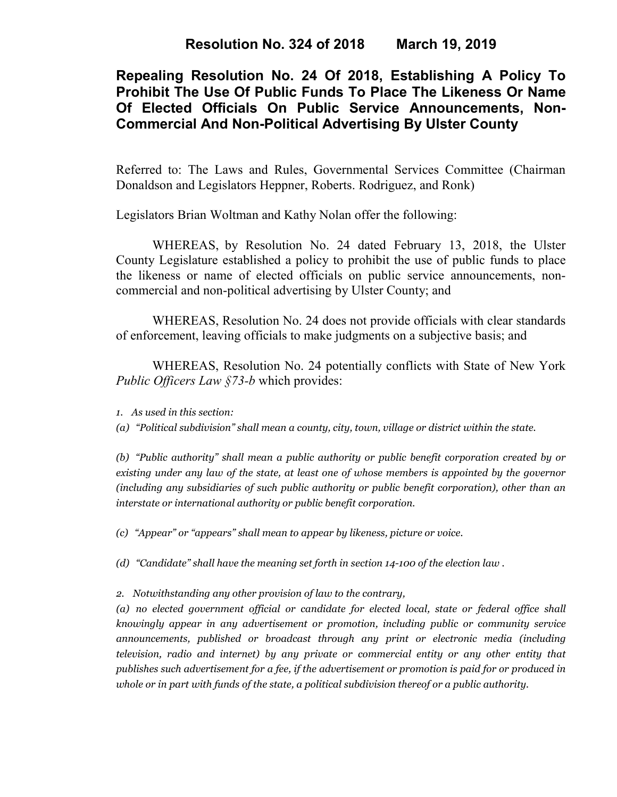**Resolution No. 324 of 2018 March 19, 2019**

# **Repealing Resolution No. 24 Of 2018, Establishing A Policy To Prohibit The Use Of Public Funds To Place The Likeness Or Name Of Elected Officials On Public Service Announcements, Non-Commercial And Non-Political Advertising By Ulster County**

Referred to: The Laws and Rules, Governmental Services Committee (Chairman Donaldson and Legislators Heppner, Roberts. Rodriguez, and Ronk)

Legislators Brian Woltman and Kathy Nolan offer the following:

WHEREAS, by Resolution No. 24 dated February 13, 2018, the Ulster County Legislature established a policy to prohibit the use of public funds to place the likeness or name of elected officials on public service announcements, noncommercial and non-political advertising by Ulster County; and

WHEREAS, Resolution No. 24 does not provide officials with clear standards of enforcement, leaving officials to make judgments on a subjective basis; and

WHEREAS, Resolution No. 24 potentially conflicts with State of New York *Public Officers Law §73-b* which provides:

*1. As used in this section:*

*(a) "Political subdivision" shall mean a county, city, town, village or district within the state.*

*(b) "Public authority" shall mean a public authority or public benefit corporation created by or existing under any law of the state, at least one of whose members is appointed by the governor (including any subsidiaries of such public authority or public benefit corporation), other than an interstate or international authority or public benefit corporation.*

*(c) "Appear" or "appears" shall mean to appear by likeness, picture or voice.*

*(d) "Candidate" shall have the meaning set forth in section 14-100 of the [election](https://1.next.westlaw.com/Link/Document/FullText?findType=L&originatingContext=document&transitionType=DocumentItem&pubNum=1000071&refType=LQ&originatingDoc=Ie36a1c20336e11e6b7a8d0af6f3578b5&cite=NYELS14-100) law .*

*2. Notwithstanding any other provision of law to the contrary,* 

*(a) no elected government official or candidate for elected local, state or federal office shall knowingly appear in any advertisement or promotion, including public or community service announcements, published or broadcast through any print or electronic media (including television, radio and internet) by any private or commercial entity or any other entity that publishes such advertisement for a fee, if the advertisement or promotion is paid for or produced in whole or in part with funds of the state, a political subdivision thereof or a public authority.*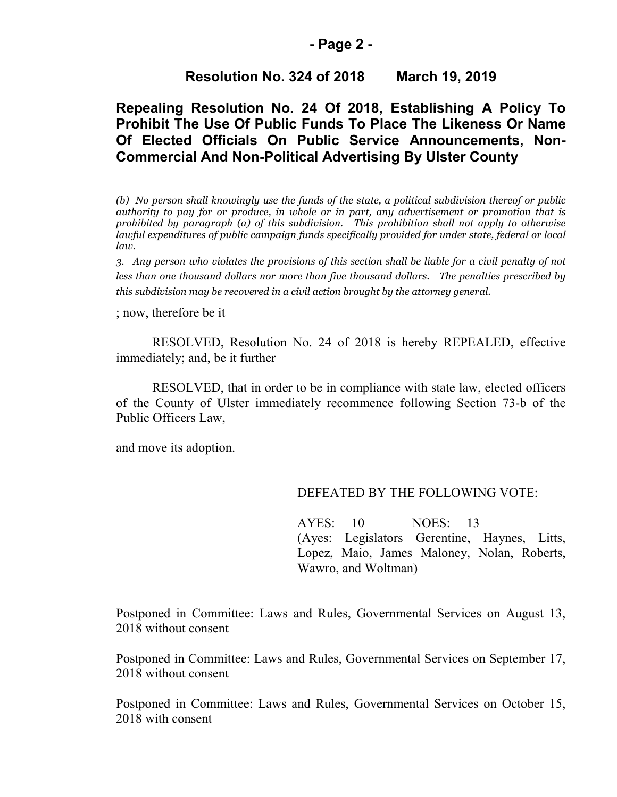### **- Page 2 -**

## **Resolution No. 324 of 2018 March 19, 2019**

## **Repealing Resolution No. 24 Of 2018, Establishing A Policy To Prohibit The Use Of Public Funds To Place The Likeness Or Name Of Elected Officials On Public Service Announcements, Non-Commercial And Non-Political Advertising By Ulster County**

*(b) No person shall knowingly use the funds of the state, a political subdivision thereof or public authority to pay for or produce, in whole or in part, any advertisement or promotion that is prohibited by paragraph (a) of this subdivision. This prohibition shall not apply to otherwise lawful expenditures of public campaign funds specifically provided for under state, federal or local law.*

*3. Any person who violates the provisions of this section shall be liable for a civil penalty of not less than one thousand dollars nor more than five thousand dollars. The penalties prescribed by this subdivision may be recovered in a civil action brought by the attorney general.*

; now, therefore be it

RESOLVED, Resolution No. 24 of 2018 is hereby REPEALED, effective immediately; and, be it further

RESOLVED, that in order to be in compliance with state law, elected officers of the County of Ulster immediately recommence following Section 73-b of the Public Officers Law,

and move its adoption.

### DEFEATED BY THE FOLLOWING VOTE:

AYES: 10 NOES: 13 (Ayes: Legislators Gerentine, Haynes, Litts, Lopez, Maio, James Maloney, Nolan, Roberts, Wawro, and Woltman)

Postponed in Committee: Laws and Rules, Governmental Services on August 13, 2018 without consent

Postponed in Committee: Laws and Rules, Governmental Services on September 17, 2018 without consent

Postponed in Committee: Laws and Rules, Governmental Services on October 15, 2018 with consent